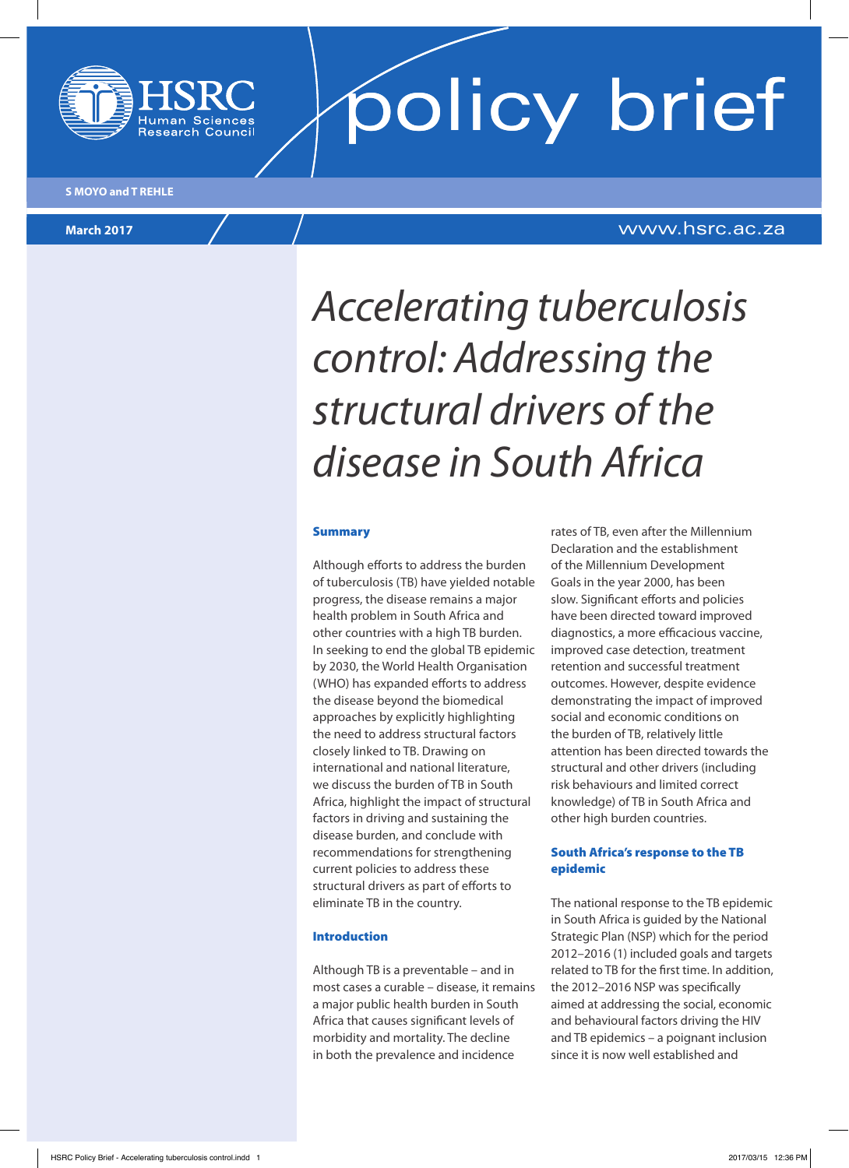

# **policy brief**

# **March 2017** www.hsrc.ac.za

# *Accelerating tuberculosis control: Addressing the structural drivers of the disease in South Africa*

#### **Summary**

Although efforts to address the burden of tuberculosis (TB) have yielded notable progress, the disease remains a major health problem in South Africa and other countries with a high TB burden. In seeking to end the global TB epidemic by 2030, the World Health Organisation (WHO) has expanded efforts to address the disease beyond the biomedical approaches by explicitly highlighting the need to address structural factors closely linked to TB. Drawing on international and national literature, we discuss the burden of TB in South Africa, highlight the impact of structural factors in driving and sustaining the disease burden, and conclude with recommendations for strengthening current policies to address these structural drivers as part of efforts to eliminate TB in the country.

#### Introduction

Although TB is a preventable – and in most cases a curable – disease, it remains a major public health burden in South Africa that causes significant levels of morbidity and mortality. The decline in both the prevalence and incidence

rates of TB, even after the Millennium Declaration and the establishment of the Millennium Development Goals in the year 2000, has been slow. Significant efforts and policies have been directed toward improved diagnostics, a more efficacious vaccine, improved case detection, treatment retention and successful treatment outcomes. However, despite evidence demonstrating the impact of improved social and economic conditions on the burden of TB, relatively little attention has been directed towards the structural and other drivers (including risk behaviours and limited correct knowledge) of TB in South Africa and other high burden countries.

### South Africa's response to the TB epidemic

The national response to the TB epidemic in South Africa is guided by the National Strategic Plan (NSP) which for the period 2012–2016 (1) included goals and targets related to TB for the first time. In addition, the 2012–2016 NSP was specifically aimed at addressing the social, economic and behavioural factors driving the HIV and TB epidemics – a poignant inclusion since it is now well established and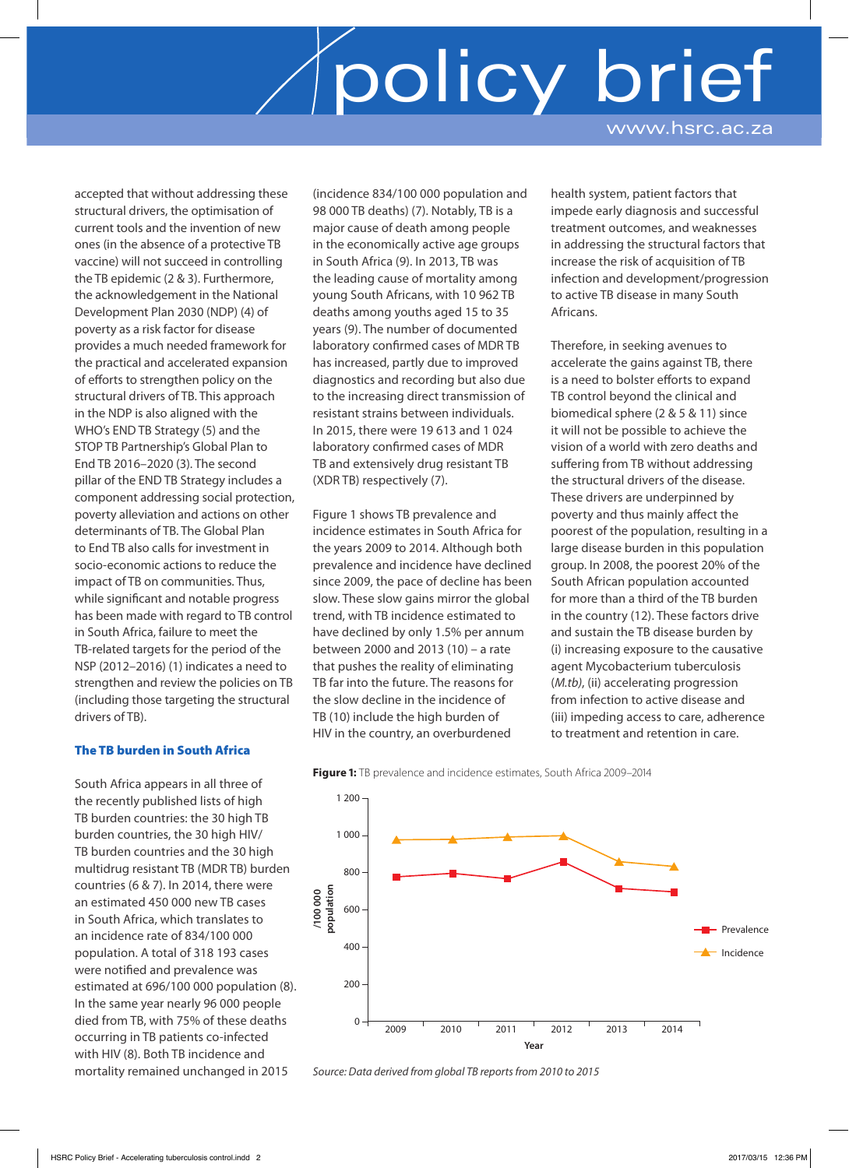accepted that without addressing these structural drivers, the optimisation of current tools and the invention of new ones (in the absence of a protective TB vaccine) will not succeed in controlling the TB epidemic (2 & 3). Furthermore, the acknowledgement in the National Development Plan 2030 (NDP) (4) of poverty as a risk factor for disease provides a much needed framework for the practical and accelerated expansion of efforts to strengthen policy on the structural drivers of TB. This approach in the NDP is also aligned with the WHO's END TB Strategy (5) and the STOP TB Partnership's Global Plan to End TB 2016–2020 (3). The second pillar of the END TB Strategy includes a component addressing social protection, poverty alleviation and actions on other determinants of TB. The Global Plan to End TB also calls for investment in socio-economic actions to reduce the impact of TB on communities. Thus, while significant and notable progress has been made with regard to TB control in South Africa, failure to meet the TB-related targets for the period of the NSP (2012–2016) (1) indicates a need to strengthen and review the policies on TB (including those targeting the structural drivers of TB).

### The TB burden in South Africa

South Africa appears in all three of the recently published lists of high TB burden countries: the 30 high TB burden countries, the 30 high HIV/ TB burden countries and the 30 high multidrug resistant TB (MDR TB) burden countries (6 & 7). In 2014, there were an estimated 450 000 new TB cases in South Africa, which translates to an incidence rate of 834/100 000 population. A total of 318 193 cases were notified and prevalence was estimated at 696/100 000 population (8). In the same year nearly 96 000 people died from TB, with 75% of these deaths occurring in TB patients co-infected with HIV (8). Both TB incidence and mortality remained unchanged in 2015

(incidence 834/100 000 population and 98 000 TB deaths) (7). Notably, TB is a major cause of death among people in the economically active age groups in South Africa (9). In 2013, TB was the leading cause of mortality among young South Africans, with 10 962 TB deaths among youths aged 15 to 35 years (9). The number of documented laboratory confirmed cases of MDR TB has increased, partly due to improved diagnostics and recording but also due to the increasing direct transmission of resistant strains between individuals. In 2015, there were 19 613 and 1 024 laboratory confirmed cases of MDR TB and extensively drug resistant TB (XDR TB) respectively (7).

Figure 1 shows TB prevalence and incidence estimates in South Africa for the years 2009 to 2014. Although both prevalence and incidence have declined since 2009, the pace of decline has been slow. These slow gains mirror the global trend, with TB incidence estimated to have declined by only 1.5% per annum between 2000 and 2013 (10) – a rate that pushes the reality of eliminating TB far into the future. The reasons for the slow decline in the incidence of TB (10) include the high burden of HIV in the country, an overburdened

health system, patient factors that impede early diagnosis and successful treatment outcomes, and weaknesses in addressing the structural factors that increase the risk of acquisition of TB infection and development/progression to active TB disease in many South Africans.

Therefore, in seeking avenues to accelerate the gains against TB, there is a need to bolster efforts to expand TB control beyond the clinical and biomedical sphere (2 & 5 & 11) since it will not be possible to achieve the vision of a world with zero deaths and suffering from TB without addressing the structural drivers of the disease. These drivers are underpinned by poverty and thus mainly affect the poorest of the population, resulting in a large disease burden in this population group. In 2008, the poorest 20% of the South African population accounted for more than a third of the TB burden in the country (12). These factors drive and sustain the TB disease burden by (i) increasing exposure to the causative agent Mycobacterium tuberculosis (*M.tb)*, (ii) accelerating progression from infection to active disease and (iii) impeding access to care, adherence to treatment and retention in care.



**Figure 1:** TB prevalence and incidence estimates, South Africa 2009–2014

*Source: Data derived from global TB reports from 2010 to 2015*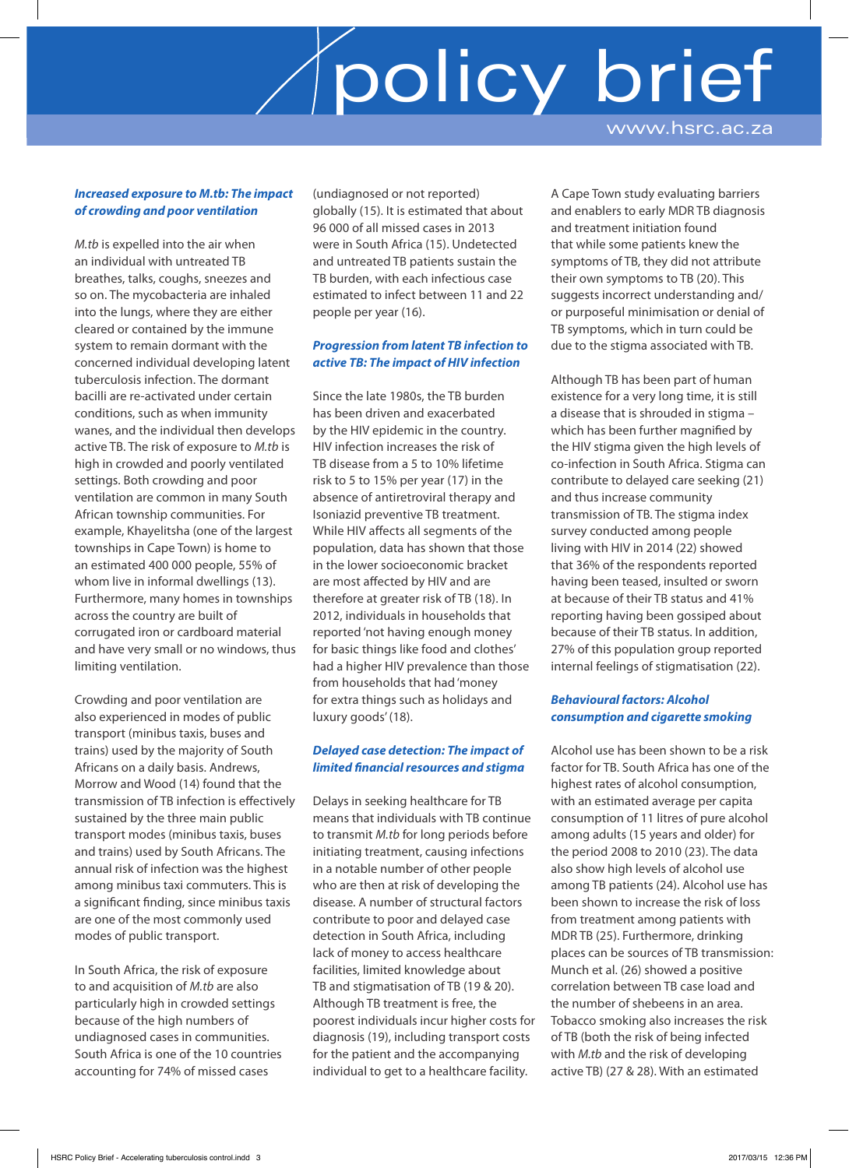### *Increased exposure to M.tb: The impact of crowding and poor ventilation*

*M.tb* is expelled into the air when an individual with untreated TB breathes, talks, coughs, sneezes and so on. The mycobacteria are inhaled into the lungs, where they are either cleared or contained by the immune system to remain dormant with the concerned individual developing latent tuberculosis infection. The dormant bacilli are re-activated under certain conditions, such as when immunity wanes, and the individual then develops active TB. The risk of exposure to *M.tb* is high in crowded and poorly ventilated settings. Both crowding and poor ventilation are common in many South African township communities. For example, Khayelitsha (one of the largest townships in Cape Town) is home to an estimated 400 000 people, 55% of whom live in informal dwellings (13). Furthermore, many homes in townships across the country are built of corrugated iron or cardboard material and have very small or no windows, thus limiting ventilation.

Crowding and poor ventilation are also experienced in modes of public transport (minibus taxis, buses and trains) used by the majority of South Africans on a daily basis. Andrews, Morrow and Wood (14) found that the transmission of TB infection is effectively sustained by the three main public transport modes (minibus taxis, buses and trains) used by South Africans. The annual risk of infection was the highest among minibus taxi commuters. This is a significant finding, since minibus taxis are one of the most commonly used modes of public transport.

In South Africa, the risk of exposure to and acquisition of *M.tb* are also particularly high in crowded settings because of the high numbers of undiagnosed cases in communities. South Africa is one of the 10 countries accounting for 74% of missed cases

(undiagnosed or not reported) globally (15). It is estimated that about 96 000 of all missed cases in 2013 were in South Africa (15). Undetected and untreated TB patients sustain the TB burden, with each infectious case estimated to infect between 11 and 22 people per year (16).

### *Progression from latent TB infection to active TB: The impact of HIV infection*

Since the late 1980s, the TB burden has been driven and exacerbated by the HIV epidemic in the country. HIV infection increases the risk of TB disease from a 5 to 10% lifetime risk to 5 to 15% per year (17) in the absence of antiretroviral therapy and Isoniazid preventive TB treatment. While HIV affects all segments of the population, data has shown that those in the lower socioeconomic bracket are most affected by HIV and are therefore at greater risk of TB (18). In 2012, individuals in households that reported 'not having enough money for basic things like food and clothes' had a higher HIV prevalence than those from households that had 'money for extra things such as holidays and luxury goods' (18).

## *Delayed case detection: The impact of limited financial resources and stigma*

Delays in seeking healthcare for TB means that individuals with TB continue to transmit *M.tb* for long periods before initiating treatment, causing infections in a notable number of other people who are then at risk of developing the disease. A number of structural factors contribute to poor and delayed case detection in South Africa, including lack of money to access healthcare facilities, limited knowledge about TB and stigmatisation of TB (19 & 20). Although TB treatment is free, the poorest individuals incur higher costs for diagnosis (19), including transport costs for the patient and the accompanying individual to get to a healthcare facility.

A Cape Town study evaluating barriers and enablers to early MDR TB diagnosis and treatment initiation found that while some patients knew the symptoms of TB, they did not attribute their own symptoms to TB (20). This suggests incorrect understanding and/ or purposeful minimisation or denial of TB symptoms, which in turn could be due to the stigma associated with TB.

Although TB has been part of human existence for a very long time, it is still a disease that is shrouded in stigma – which has been further magnified by the HIV stigma given the high levels of co-infection in South Africa. Stigma can contribute to delayed care seeking (21) and thus increase community transmission of TB. The stigma index survey conducted among people living with HIV in 2014 (22) showed that 36% of the respondents reported having been teased, insulted or sworn at because of their TB status and 41% reporting having been gossiped about because of their TB status. In addition, 27% of this population group reported internal feelings of stigmatisation (22).

### *Behavioural factors: Alcohol consumption and cigarette smoking*

Alcohol use has been shown to be a risk factor for TB. South Africa has one of the highest rates of alcohol consumption, with an estimated average per capita consumption of 11 litres of pure alcohol among adults (15 years and older) for the period 2008 to 2010 (23). The data also show high levels of alcohol use among TB patients (24). Alcohol use has been shown to increase the risk of loss from treatment among patients with MDR TB (25). Furthermore, drinking places can be sources of TB transmission: Munch et al. (26) showed a positive correlation between TB case load and the number of shebeens in an area. Tobacco smoking also increases the risk of TB (both the risk of being infected with *M.tb* and the risk of developing active TB) (27 & 28). With an estimated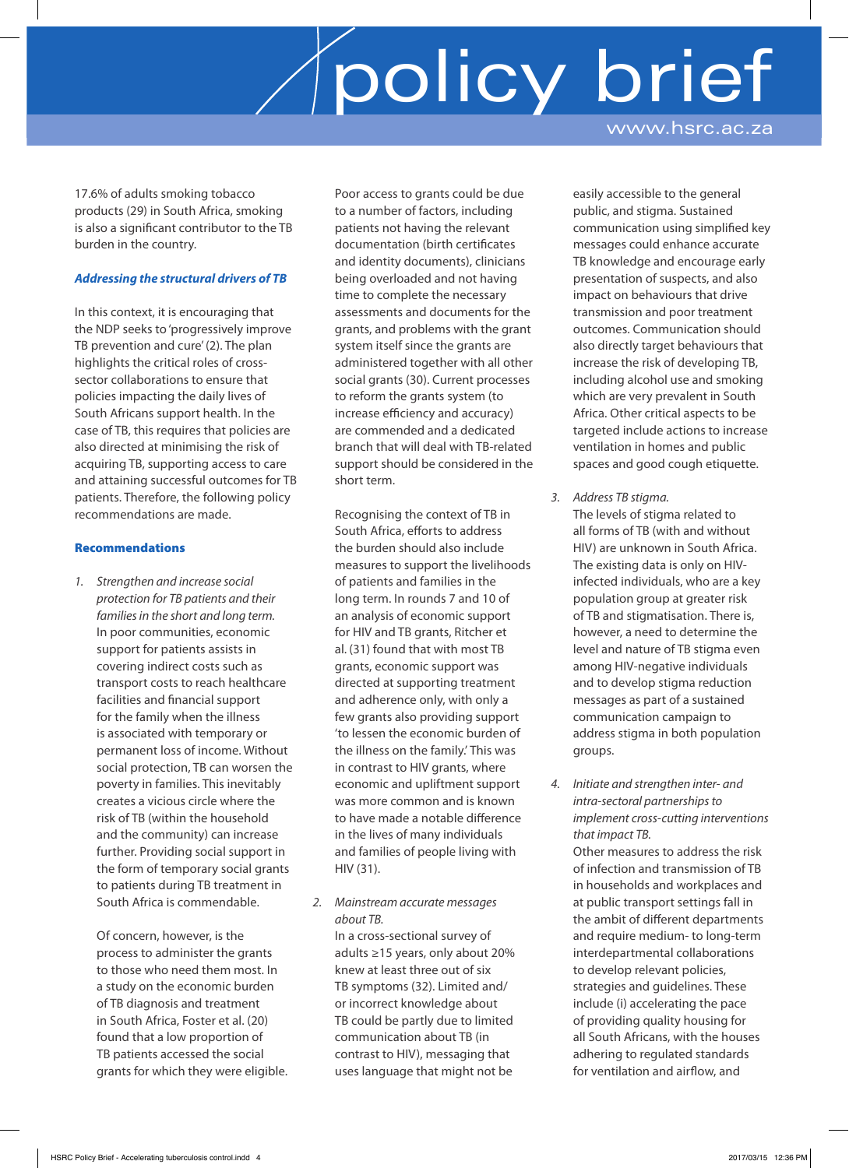17.6% of adults smoking tobacco products (29) in South Africa, smoking is also a significant contributor to the TB burden in the country.

#### *Addressing the structural drivers of TB*

In this context, it is encouraging that the NDP seeks to 'progressively improve TB prevention and cure' (2). The plan highlights the critical roles of crosssector collaborations to ensure that policies impacting the daily lives of South Africans support health. In the case of TB, this requires that policies are also directed at minimising the risk of acquiring TB, supporting access to care and attaining successful outcomes for TB patients. Therefore, the following policy recommendations are made.

#### Recommendations

*1. Strengthen and increase social protection for TB patients and their families in the short and long term.* In poor communities, economic support for patients assists in covering indirect costs such as transport costs to reach healthcare facilities and financial support for the family when the illness is associated with temporary or permanent loss of income. Without social protection, TB can worsen the poverty in families. This inevitably creates a vicious circle where the risk of TB (within the household and the community) can increase further. Providing social support in the form of temporary social grants to patients during TB treatment in South Africa is commendable.

Of concern, however, is the process to administer the grants to those who need them most. In a study on the economic burden of TB diagnosis and treatment in South Africa, Foster et al. (20) found that a low proportion of TB patients accessed the social grants for which they were eligible. Poor access to grants could be due to a number of factors, including patients not having the relevant documentation (birth certificates and identity documents), clinicians being overloaded and not having time to complete the necessary assessments and documents for the grants, and problems with the grant system itself since the grants are administered together with all other social grants (30). Current processes to reform the grants system (to increase efficiency and accuracy) are commended and a dedicated branch that will deal with TB-related support should be considered in the short term.

Recognising the context of TB in South Africa, efforts to address the burden should also include measures to support the livelihoods of patients and families in the long term. In rounds 7 and 10 of an analysis of economic support for HIV and TB grants, Ritcher et al. (31) found that with most TB grants, economic support was directed at supporting treatment and adherence only, with only a few grants also providing support 'to lessen the economic burden of the illness on the family.' This was in contrast to HIV grants, where economic and upliftment support was more common and is known to have made a notable difference in the lives of many individuals and families of people living with HIV (31).

*2. Mainstream accurate messages about TB.*

In a cross-sectional survey of adults ≥15 years, only about 20% knew at least three out of six TB symptoms (32). Limited and/ or incorrect knowledge about TB could be partly due to limited communication about TB (in contrast to HIV), messaging that uses language that might not be

easily accessible to the general public, and stigma. Sustained communication using simplified key messages could enhance accurate TB knowledge and encourage early presentation of suspects, and also impact on behaviours that drive transmission and poor treatment outcomes. Communication should also directly target behaviours that increase the risk of developing TB, including alcohol use and smoking which are very prevalent in South Africa. Other critical aspects to be targeted include actions to increase ventilation in homes and public spaces and good cough etiquette.

- *3. Address TB stigma.* The levels of stigma related to all forms of TB (with and without HIV) are unknown in South Africa. The existing data is only on HIVinfected individuals, who are a key population group at greater risk of TB and stigmatisation. There is, however, a need to determine the level and nature of TB stigma even among HIV-negative individuals and to develop stigma reduction messages as part of a sustained communication campaign to address stigma in both population groups.
- *4. Initiate and strengthen inter- and intra-sectoral partnerships to implement cross-cutting interventions that impact TB.*

Other measures to address the risk of infection and transmission of TB in households and workplaces and at public transport settings fall in the ambit of different departments and require medium- to long-term interdepartmental collaborations to develop relevant policies, strategies and guidelines. These include (i) accelerating the pace of providing quality housing for all South Africans, with the houses adhering to regulated standards for ventilation and airflow, and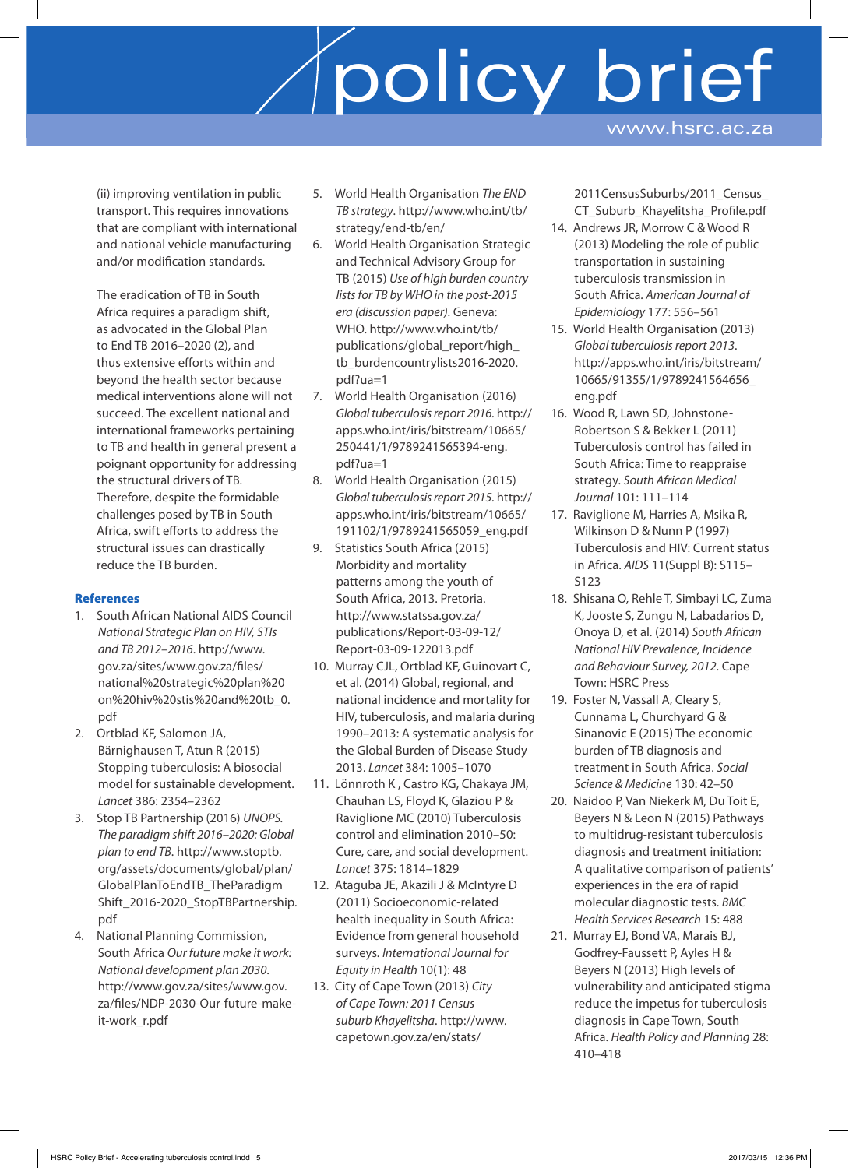(ii) improving ventilation in public transport. This requires innovations that are compliant with international and national vehicle manufacturing and/or modification standards.

The eradication of TB in South Africa requires a paradigm shift, as advocated in the Global Plan to End TB 2016–2020 (2), and thus extensive efforts within and beyond the health sector because medical interventions alone will not succeed. The excellent national and international frameworks pertaining to TB and health in general present a poignant opportunity for addressing the structural drivers of TB. Therefore, despite the formidable challenges posed by TB in South Africa, swift efforts to address the structural issues can drastically reduce the TB burden.

## **References**

- 1. South African National AIDS Council *National Strategic Plan on HIV, STIs and TB 2012–2016*. http:/ / www. gov.za/sites/www.gov.za/files/ national%20strategic%20plan%20 on%20hiv%20stis%20and%20tb\_0. pdf
- 2. Ortblad KF, Salomon JA, Bärnighausen T, Atun R (2015) Stopping tuberculosis: A biosocial model for sustainable development. *Lancet* 386: 2354–2362
- 3. Stop TB Partnership (2016) *UNOPS. The paradigm shift 2016–2020: Global plan to end TB*. http:/ / www.stoptb. org/assets/documents/global/plan/ Global Plan To End TB\_The Paradigm Shift\_2016-2020\_StopTBPartnership. pdf
- 4. National Planning Commission, South Africa *Our future make it work: National development plan 2030*. http://www.gov.za/sites/www.gov. za/files/NDP-2030-Our-future-makeit-work\_r.pdf
- 5. World Health Organisation *The END TB strategy*. http:/ / www.who.int/ tb/ strategy/end-tb/en/
- 6. World Health Organisation Strategic and Technical Advisory Group for TB (2015) *Use of high burden country lists for TB by WHO in the post-2015 era (discussion paper)*. Geneva: WHO. http://www.who.int/tb/ publications/ global\_report/high\_ tb\_burdencountrylists2016-2020. pdf?ua=1
- 7. World Health Organisation (2016) *Global tuberculosis report 2016*. http:/ / apps.who.int/iris/bitstream/10665/ 250441/1/9789241565394-eng. pdf?ua=1
- 8. World Health Organisation (2015) *Global tuberculosis report 2015*. http:/ / apps.who.int/iris/bitstream/10665/ 191102/1/9789241565059\_eng.pdf
- 9. Statistics South Africa (2015) Morbidity and mortality patterns among the youth of South Africa, 2013. Pretoria. http://www.statssa.gov.za/ publications/ Report-03-09-12/ Report-03-09-122013.pdf
- 10. Murray CJL, Ortblad KF, Guinovart C, et al. (2014) Global, regional, and national incidence and mortality for HIV, tuberculosis, and malaria during 1990–2013: A systematic analysis for the Global Burden of Disease Study 2013. *Lancet* 384: 1005–1070
- 11. Lönnroth K , Castro KG, Chakaya JM, Chauhan LS, Floyd K, Glaziou P & Raviglione MC (2010) Tuberculosis control and elimination 2010–50: Cure, care, and social development. *Lancet* 375: 1814–1829
- 12. Ataguba JE, Akazili J & McIntyre D (2011) Socioeconomic-related health inequality in South Africa: Evidence from general household surveys. *International Journal for Equity in Health* 10(1): 48
- 13. City of Cape Town (2013) *City of Cape Town: 2011 Census suburb Khayelitsha*. http:/ / www. capetown.gov.za/en/stats/

2011CensusSuburbs/2011\_Census\_ CT\_Suburb\_Khayelitsha\_Profile.pdf

- 14. Andrews JR, Morrow C & Wood R (2013) Modeling the role of public transportation in sustaining tuberculosis transmission in South Africa*. American Journal of Epidemiology* 177: 556–561
- 15. World Health Organisation (2013) *Global tuberculosis report 2013*. http://apps.who.int/iris/bitstream/ 10665/91355/1/9789241564656 eng.pdf
- 16. Wood R, Lawn SD, Johnstone-Robertson S & Bekker L (2011) Tuberculosis control has failed in South Africa: Time to reappraise strategy. *South African Medical Journal* 101: 111–114
- 17. Raviglione M, Harries A, Msika R, Wilkinson D & Nunn P (1997) Tuberculosis and HIV: Current status in Africa. *AIDS* 11(Suppl B): S115– S123
- 18. Shisana O, Rehle T, Simbayi LC, Zuma K, Jooste S, Zungu N, Labadarios D, Onoya D, et al. (2014) *South African National HIV Prevalence, Incidence and Behaviour Survey, 2012*. Cape Town: HSRC Press
- 19. Foster N, Vassall A, Cleary S, Cunnama L, Churchyard G & Sinanovic E (2015) The economic burden of TB diagnosis and treatment in South Africa. *Social Science & Medicine* 130: 42–50
- 20. Naidoo P, Van Niekerk M, Du Toit E, Beyers N & Leon N (2015) Pathways to multidrug-resistant tuberculosis diagnosis and treatment initiation: A qualitative comparison of patients' experiences in the era of rapid molecular diagnostic tests. *BMC Health Services Research* 15: 488
- 21. Murray EJ, Bond VA, Marais BJ, Godfrey-Faussett P, Ayles H & Beyers N (2013) High levels of vulnerability and anticipated stigma reduce the impetus for tuberculosis diagnosis in Cape Town, South Africa. *Health Policy and Planning* 28: 410–418